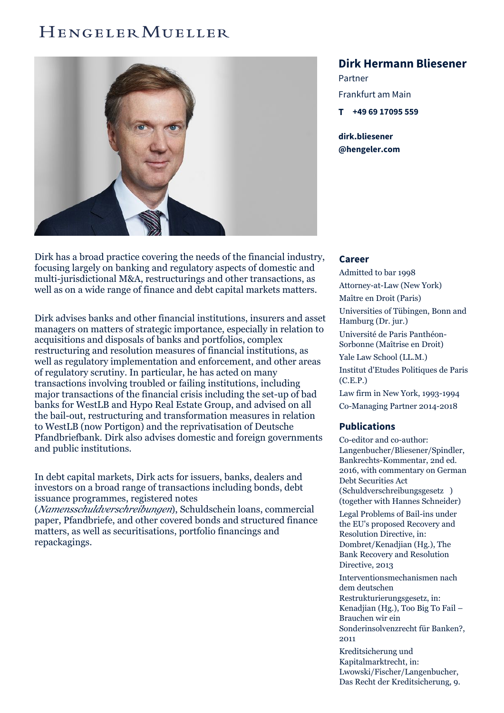## HENGELER MUELLER



Dirk has a broad practice covering the needs of the financial industry, focusing largely on banking and regulatory aspects of domestic and multi-jurisdictional M&A, restructurings and other transactions, as well as on a wide range of finance and debt capital markets matters.

Dirk advises banks and other financial institutions, insurers and asset managers on matters of strategic importance, especially in relation to acquisitions and disposals of banks and portfolios, complex restructuring and resolution measures of financial institutions, as well as regulatory implementation and enforcement, and other areas of regulatory scrutiny. In particular, he has acted on many transactions involving troubled or failing institutions, including major transactions of the financial crisis including the set-up of bad banks for WestLB and Hypo Real Estate Group, and advised on all the bail-out, restructuring and transformation measures in relation to WestLB (now Portigon) and the reprivatisation of Deutsche Pfandbriefbank. Dirk also advises domestic and foreign governments and public institutions.

In debt capital markets, Dirk acts for issuers, banks, dealers and investors on a broad range of transactions including bonds, debt issuance programmes, registered notes

(*Namensschuldverschreibungen*), Schuldschein loans, commercial paper, Pfandbriefe, and other covered bonds and structured finance matters, as well as securitisations, portfolio financings and repackagings.

## **Dirk Hermann Bliesener**

Partner Frankfurt am Main **T +49 69 [17095](tel:+496917095559) 559**

**dirk.bliesener [@hengeler.com](mailto:dirk.bliesener@hengeler.com)**

## **Career**

Admitted to bar 1998 Attorney-at-Law (New York) Maître en Droit (Paris) Universities of Tübingen, Bonn and Hamburg (Dr. jur.) Université de Paris Panthéon-Sorbonne (Maîtrise en Droit) Yale Law School (LL.M.) Institut d'Etudes Politiques de Paris (C.E.P.) Law firm in New York, 1993-1994 Co-Managing Partner 2014-2018

## **Publications**

Co-editor and co-author: Langenbucher/Bliesener/Spindler, Bankrechts-Kommentar, 2nd ed. 2016, with commentary on German Debt Securities Act (Schuldverschreibungsgesetz ) (together with Hannes Schneider)

Legal Problems of Bail-ins under the EU's proposed Recovery and Resolution Directive, in: Dombret/Kenadjian (Hg.), The Bank Recovery and Resolution Directive, 2013

Interventionsmechanismen nach dem deutschen Restrukturierungsgesetz, in: Kenadjian (Hg.), Too Big To Fail – Brauchen wir ein Sonderinsolvenzrecht für Banken?, 2011

Kreditsicherung und Kapitalmarktrecht, in: Lwowski/Fischer/Langenbucher, Das Recht der Kreditsicherung, 9.